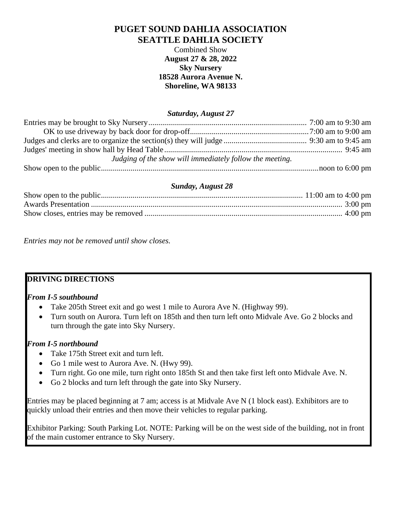# **PUGET SOUND DAHLIA ASSOCIATION SEATTLE DAHLIA SOCIETY**

Combined Show **August 27 & 28, 2022 Sky Nursery 18528 Aurora Avenue N. Shoreline, WA 98133**

#### *Saturday, August 27*

| Judging of the show will immediately follow the meeting. |  |
|----------------------------------------------------------|--|
|                                                          |  |

## *Sunday, August 28*

*Entries may not be removed until show closes.*

## **DRIVING DIRECTIONS**

## *From I-5 southbound*

- Take 205th Street exit and go west 1 mile to Aurora Ave N. (Highway 99).
- Turn south on Aurora. Turn left on 185th and then turn left onto Midvale Ave. Go 2 blocks and turn through the gate into Sky Nursery.

## *From I-5 northbound*

- Take 175th Street exit and turn left.
- Go 1 mile west to Aurora Ave. N. (Hwy 99).
- Turn right. Go one mile, turn right onto 185th St and then take first left onto Midvale Ave. N.
- Go 2 blocks and turn left through the gate into Sky Nursery.

Entries may be placed beginning at 7 am; access is at Midvale Ave N (1 block east). Exhibitors are to quickly unload their entries and then move their vehicles to regular parking.

Exhibitor Parking: South Parking Lot. NOTE: Parking will be on the west side of the building, not in front of the main customer entrance to Sky Nursery.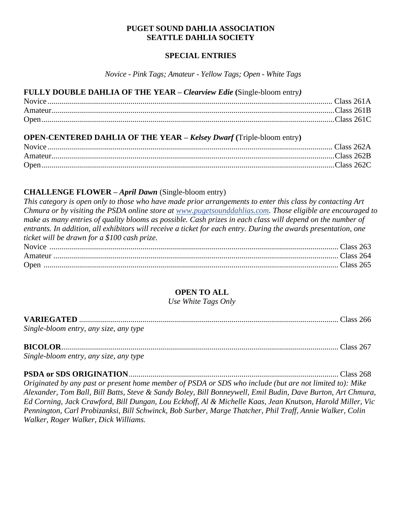### **PUGET SOUND DAHLIA ASSOCIATION SEATTLE DAHLIA SOCIETY**

### **SPECIAL ENTRIES**

*Novice - Pink Tags; Amateur - Yellow Tags; Open - White Tags*

| FULLY DOUBLE DAHLIA OF THE YEAR - Clearview Edie (Single-bloom entry)       |  |
|-----------------------------------------------------------------------------|--|
|                                                                             |  |
|                                                                             |  |
|                                                                             |  |
| <b>OPEN-CENTERED DAHLIA OF THE YEAR - Kelsey Dwarf (Triple-bloom entry)</b> |  |

# **CHALLENGE FLOWER –** *April Dawn* (Single-bloom entry)

*This category is open only to those who have made prior arrangements to enter this class by contacting Art Chmura or by visiting the PSDA online store at [www.pugetsounddahlias.com.](http://www.pugetsounddahlias.com/) Those eligible are encouraged to make as many entries of quality blooms as possible. Cash prizes in each class will depend on the number of entrants. In addition, all exhibitors will receive a ticket for each entry. During the awards presentation, one ticket will be drawn for a \$100 cash prize.* Novice .................................................................................................................................................. Class 263 Amateur ................................................................................................................................................ Class 264 Open ..................................................................................................................................................... Class 265

# **OPEN TO ALL**

*Use White Tags Only*

| Single-bloom entry, any size, any type |  |
|----------------------------------------|--|

#### **BICOLOR**............................................................................................................................................ Class 267

*Single-bloom entry, any size, any type*

**PSDA or SDS ORIGINATION**.......................................................................................................... Class 268

*Originated by any past or present home member of PSDA or SDS who include (but are not limited to): Mike Alexander, Tom Ball, Bill Batts, Steve & Sandy Boley, Bill Bonneywell, Emil Budin, Dave Burton, Art Chmura, Ed Corning, Jack Crawford, Bill Dungan, Lou Eckhoff, Al & Michelle Kaas, Jean Knutson, Harold Miller, Vic Pennington, Carl Probizanksi, Bill Schwinck, Bob Surber, Marge Thatcher, Phil Traff, Annie Walker, Colin Walker, Roger Walker, Dick Williams.*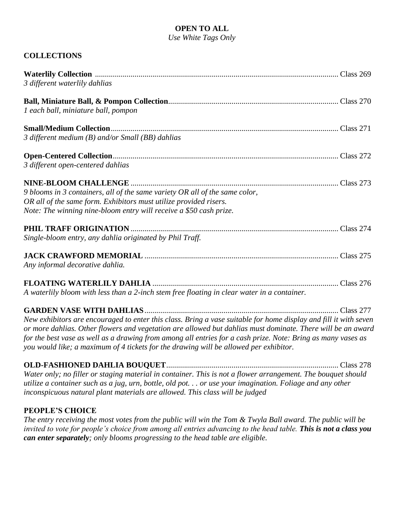# **OPEN TO ALL**

*Use White Tags Only*

# **COLLECTIONS**

| 3 different waterlily dahlias                                                                                                                                                                                                                                                                                                                                                                                                            |  |
|------------------------------------------------------------------------------------------------------------------------------------------------------------------------------------------------------------------------------------------------------------------------------------------------------------------------------------------------------------------------------------------------------------------------------------------|--|
| 1 each ball, miniature ball, pompon                                                                                                                                                                                                                                                                                                                                                                                                      |  |
| 3 different medium (B) and/or Small (BB) dahlias                                                                                                                                                                                                                                                                                                                                                                                         |  |
| 3 different open-centered dahlias                                                                                                                                                                                                                                                                                                                                                                                                        |  |
| 9 blooms in 3 containers, all of the same variety OR all of the same color,<br>OR all of the same form. Exhibitors must utilize provided risers.<br>Note: The winning nine-bloom entry will receive a \$50 cash prize.                                                                                                                                                                                                                   |  |
| Single-bloom entry, any dahlia originated by Phil Traff.                                                                                                                                                                                                                                                                                                                                                                                 |  |
| Any informal decorative dahlia.                                                                                                                                                                                                                                                                                                                                                                                                          |  |
| A waterlily bloom with less than a 2-inch stem free floating in clear water in a container.                                                                                                                                                                                                                                                                                                                                              |  |
| New exhibitors are encouraged to enter this class. Bring a vase suitable for home display and fill it with seven<br>or more dahlias. Other flowers and vegetation are allowed but dahlias must dominate. There will be an award<br>for the best vase as well as a drawing from among all entries for a cash prize. Note: Bring as many vases as<br>you would like; a maximum of 4 tickets for the drawing will be allowed per exhibitor. |  |
| Water only; no filler or staging material in container. This is not a flower arrangement. The bouquet should<br>utilize a container such as a jug, urn, bottle, old pot or use your imagination. Foliage and any other<br>inconspicuous natural plant materials are allowed. This class will be judged                                                                                                                                   |  |

# **PEOPLE'S CHOICE**

*The entry receiving the most votes from the public will win the Tom & Twyla Ball award. The public will be invited to vote for people's choice from among all entries advancing to the head table. This is not a class you can enter separately; only blooms progressing to the head table are eligible.*